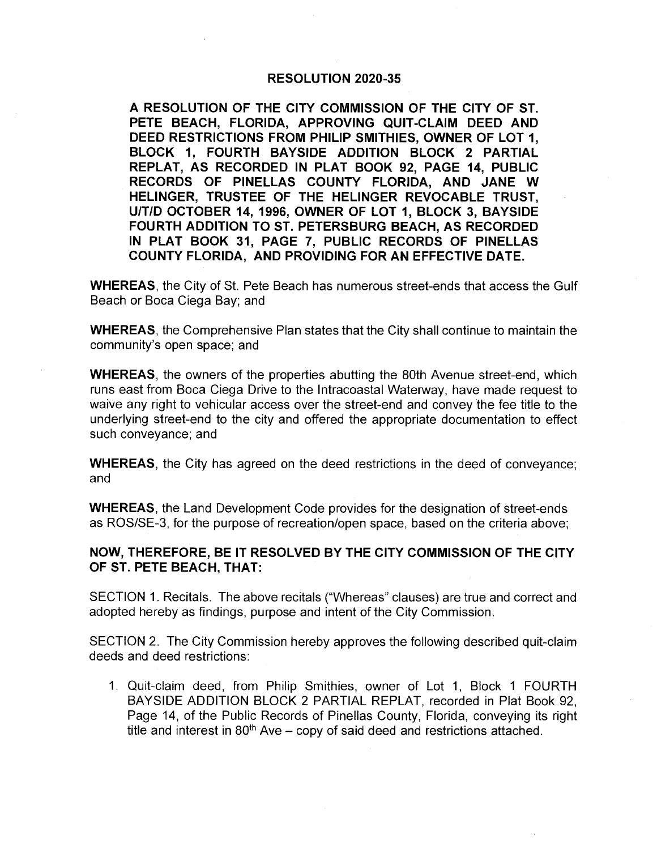### RESOLUTION 2020-35

A RESOLUTION OF THE CITY COMMISSION OF THE CITY OF ST. PETE BEACH, FLORIDA, APPROVING QUIT-CLAIM DEED AND DEED RESTRICTIONS FROM PHILIP SMITHIES, OWNER OF LOT 1, BLOCK 1, FOURTH BAYSIDE ADDITION BLOCK 2 PARTIAL REPLAT, AS RECORDED IN PLAT BOOK 92, PAGE 14, PUBLIC RECORDS OF PINELLAS COUNTY FLORIDA, AND JANE W HELINGER, TRUSTEE OF THE HELINGER REVOCABLE TRUST. U/T/D OCTOBER 14, 1996, OWNER OF LOT 1, BLOCK 3, BAYSIDE FOURTH ADDITION TO ST. PETERSBURG BEACH, AS RECORDED IN PLAT BOOK 31, PAGE 7, PUBLIC RECORDS OF PINELLAS COUNTY FLORIDA, AND PROVIDING FOR AN EFFECTIVE DATE.

WHEREAS, the City of St. Pete Beach has numerous street-ends that access the Gulf Beach or Boca Ciega Bay; and

WHEREAS, the Comprehensive Plan states that the City shall continue to maintain the community's open space; and

WHEREAS, the owners of the properties abutting the 80th Avenue street-end, which runs east from Boca Ciega Drive to the Intracoastal Waterway, have made request to waive any right to vehicular access over the street-end and convey the fee title to the underlying street -end to the city and offered the appropriate documentation to effect such conveyance; and

WHEREAS, the City has agreed on the deed restrictions in the deed of conveyance; and

WHEREAS, the Land Development Code provides for the designation of street-ends as ROS/SE-3, for the purpose of recreation/open space, based on the criteria above;

### NOW, THEREFORE, BE IT RESOLVED BY THE CITY COMMISSION OF THE CITY OF ST. PETE BEACH, THAT:

SECTION 1. Recitals. The above recitals ("Whereas" clauses) are true and correct and adopted hereby as findings, purpose and intent of the City Commission.

SECTION 2. The City Commission hereby approves the following described quit -claim deeds and deed restrictions:

1. Quit -claim deed, from Philip Smithies, owner of Lot 1, Block 1 FOURTH BAYSIDE ADDITION BLOCK 2 PARTIAL REPLAT, recorded in Plat Book 92, Page 14, of the Public Records of Pinellas County, Florida, conveying its right title and interest in  $80<sup>th</sup>$  Ave – copy of said deed and restrictions attached.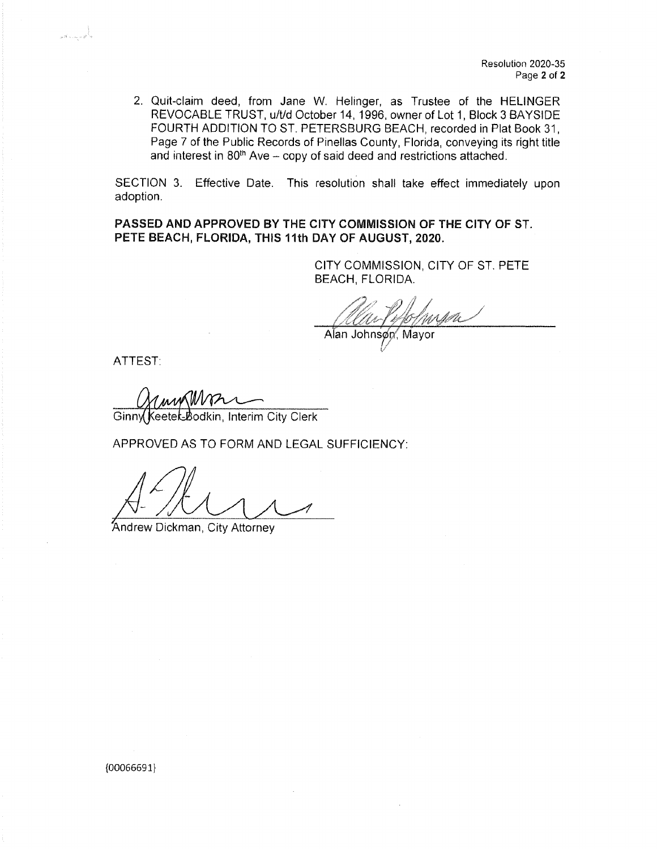2. Quit-claim deed, from Jane W. Helinger, as Trustee of the HELINGER REVOCABLE TRUST, u/t/d October 14, 1996, owner of Lot 1, Block 3 BAYSIDE FOURTH ADDITION TO ST. PETERSBURG BEACH, recorded in Plat Book 31, Page 7 of the Public Records of Pinellas County, Florida, conveying its right title and interest in  $80<sup>th</sup>$  Ave – copy of said deed and restrictions attached.

SECTION 3. Effective Date. This resolution shall take effect immediately upon adoption.

PASSED AND APPROVED BY THE CITY COMMISSION OF THE CITY OF ST. PETE BEACH, FLORIDA, THIS 11th DAY OF AUGUST, 2020.

> CITY COMMISSION, CITY OF ST. PETE BEACH, FLORIDA.

Alan Johnsøn, Mayor

ATTEST:

بأصيب تعد

**COMMANDEL**<br>Ginny Keetek Bodkin, Interim City Clerk

APPROVED AS TO FORM AND LEGAL SUFFICIENCY:

Andrew Dickman, City Attorney

 ${00066691}$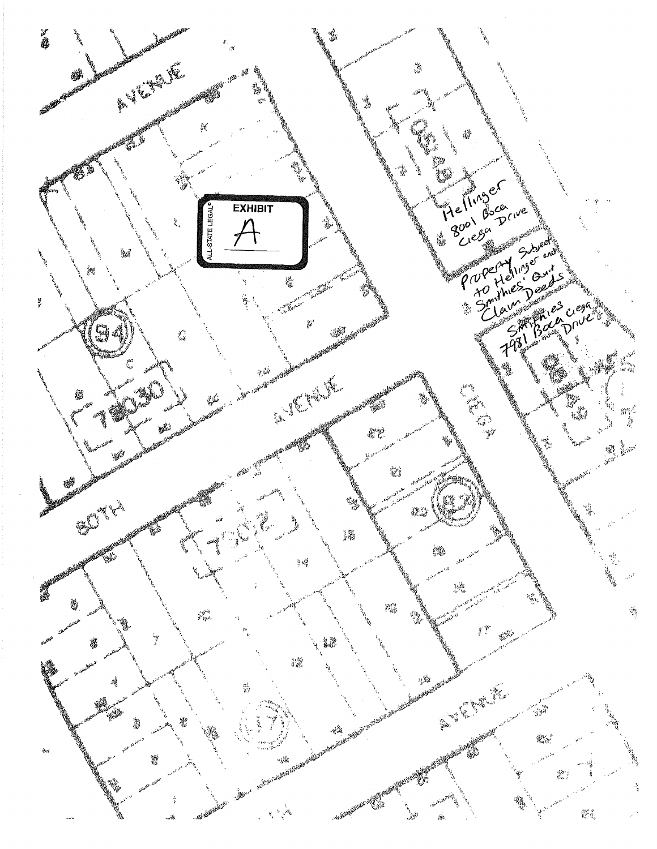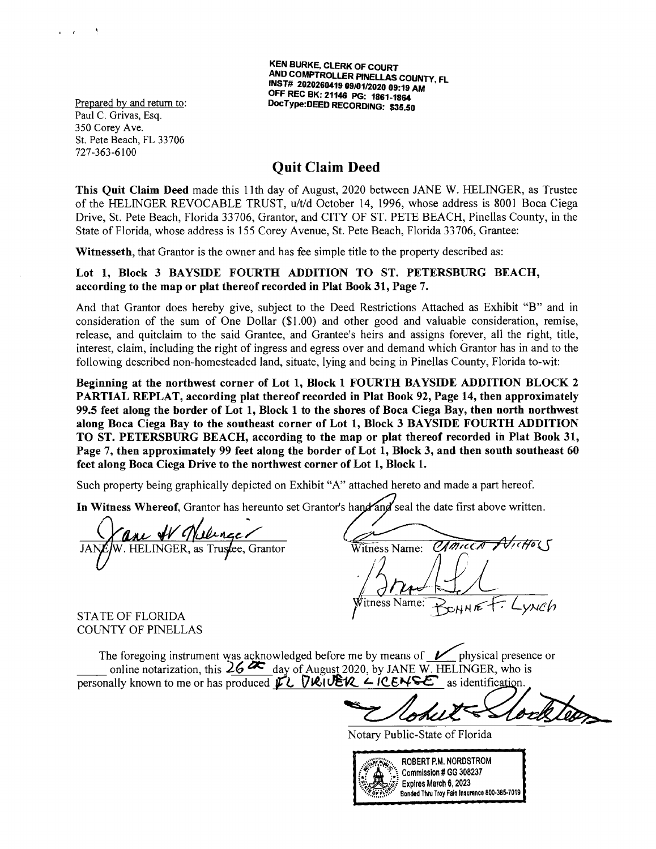KEN BURKE, CLERK OF COURT AND COMPTROLLER PINELLAS COUNTY, FL INST# 2020260419 09/01/2020 09:19 AM OFF REC BK: 21146 PG: 1861- 1864 Prepared by and return to: DocType: DEED RECORDING: \$35.50

Paul C. Grivas, Esq. 350 Corey Ave. St. Pete Beach, FL 33706 727-363-6100

 $\mathbf{r} = \mathbf{r}$ 

## Quit Claim Deed

This Quit Claim Deed made this 11th day of August, 2020 between JANE W. HELINGER, as Trustee of the HELINGER REVOCABLE TRUST, u/t/d October 14, 1996, whose address is 8001 Boca Ciega Drive, St. Pete Beach, Florida 33706, Grantor, and CITY OF ST. PETE BEACH, Pinellas County, in the State of Florida, whose address is 155 Corey Avenue, St. Pete Beach, Florida 33706, Grantee:

Witnesseth, that Grantor is the owner and has fee simple title to the property described as:

#### Lot 1, Block 3 BAYSIDE FOURTH ADDITION TO ST. PETERSBURG BEACH, according to the map or plat thereof recorded in Plat Book 31, Page 7.

And that Grantor does hereby give, subject to the Deed Restrictions Attached as Exhibit "B" and in consideration of the sum of One Dollar  $(\$1.00)$  and other good and valuable consideration, remise, release, and quitclaim to the said Grantee, and Grantee's heirs and assigns forever, all the right, title, interest, claim, including the right of ingress and egress over and demand which Grantor has in and to the following described non -homesteaded land, situate, lying and being in Pinellas County, Florida to -wit:

Beginning at the northwest corner of Lot 1, Block 1 FOURTH BAYSIDE ADDITION BLOCK 2 PARTIAL REPLAT, according plat thereof recorded in Plat Book 92, Page 14, then approximately 99.5 feet along the border of Lot 1, Block 1 to the shores of Boca Ciega Bay, then north northwest along Boca Ciega Bay to the southeast corner of Lot 1, Block 3 BAYSIDE FOURTH ADDITION TO ST. PETERSBURG BEACH, according to the map or plat thereof recorded in Plat Book 31, Page 7, then approximately 99 feet along the border of Lot 1, Block 3, and then south southeast 60 feet along Boca Ciega Drive to the northwest corner of Lot 1, Block 1.

Such property being graphically depicted on Exhibit "A" attached hereto and made a part hereof.

In Witness Whereof, Grantor has hereunto set Grantor's hand and seal the date first above written.

W. HELINGER, as Trustee, Grantor Witness Name: CAMILLA AVICHOL itness Name:  $S$ NNE

STATE OF FLORIDA COUNTY OF PINELLAS

The foregoing instrument was acknowledged before me by means of  $\nu$  physical presence or online notarization, this  $26$   $\sim$  day of August 2020, by JANE W. HELINGER, who is personally known to me or has produced  $\vec{v}$   $\vec{v}$   $\vec{v}$   $\vec{v}$   $\vec{v}$   $\vec{v}$   $\vec{v}$   $\vec{v}$   $\vec{v}$   $\vec{v}$   $\vec{v}$   $\vec{v}$   $\vec{v}$   $\vec{v}$   $\vec{v}$   $\vec{v}$   $\vec{v}$   $\vec{v}$   $\vec{v}$   $\vec{v}$   $\vec{v}$   $\vec{v}$   $\vec{v}$ 

Notary Public-State of Florida

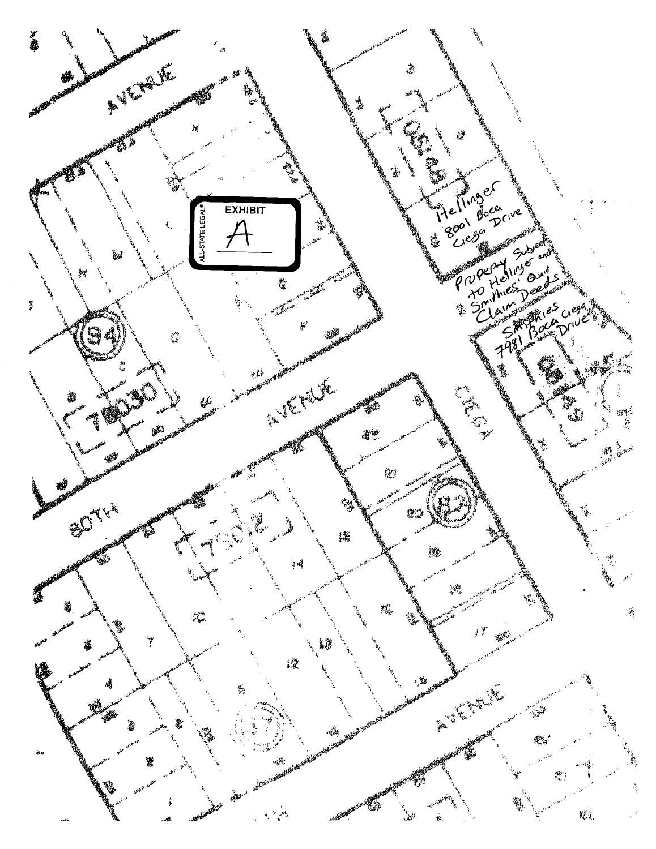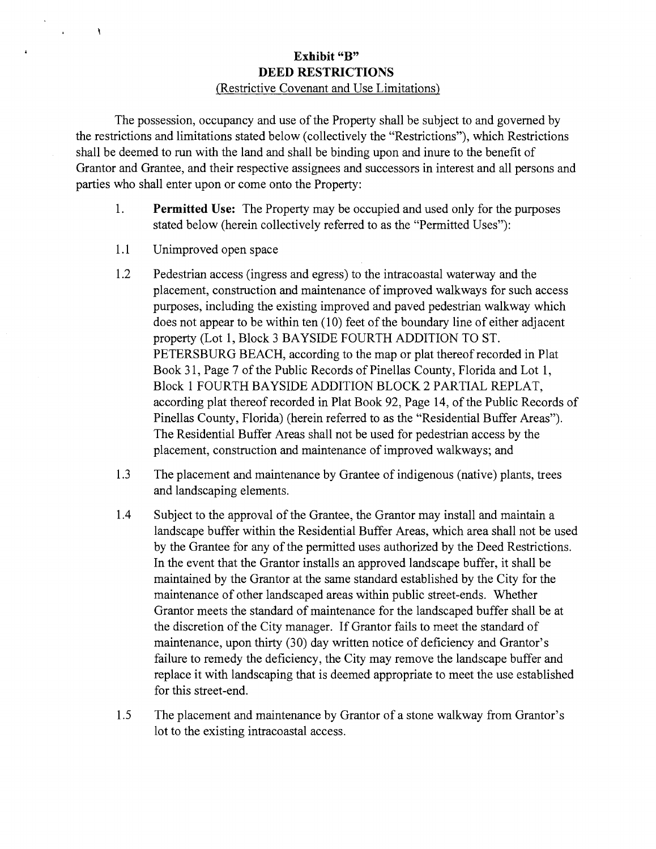### Exhibit "B" DEED RESTRICTIONS Restrictive Covenant and Use Limitations)

The possession, occupancy and use of the Property shall be subject to and governed by the restrictions and limitations stated below ( collectively the " Restrictions"), which Restrictions shall be deemed to run with the land and shall be binding upon and inure to the benefit of Grantor and Grantee, and their respective assignees and successors in interest and all persons and parties who shall enter upon or come onto the Property:

- 1. **Permitted Use:** The Property may be occupied and used only for the purposes stated below (herein collectively referred to as the "Permitted Uses"):
- 1.1 Unimproved open space

 $\lambda$ 

- 1.2 Pedestrian access (ingress and egress) to the intracoastal waterway and the placement, construction and maintenance of improved walkways for such access purposes, including the existing improved and paved pedestrian walkway which does not appear to be within ten ( 10) feet of the boundary line of either adjacent property (Lot 1, Block 3 BAYSIDE FOURTH ADDITION TO ST. PETERSBURG BEACH, according to the map or plat thereof recorded in Plat Book 31, Page 7 of the Public Records of Pinellas County, Florida and Lot 1, Block 1 FOURTH BAYSIDE ADDITION BLOCK 2 PARTIAL REPLAT, according plat thereof recorded in Plat Book 92, Page 14, of the Public Records of Pinellas County, Florida) (herein referred to as the "Residential Buffer Areas"). The Residential Buffer Areas shall not be used for pedestrian access by the placement, construction and maintenance of improved walkways; and
- 1.3 The placement and maintenance by Grantee of indigenous (native) plants, trees and landscaping elements.
- 1.4 Subject to the approval of the Grantee, the Grantor may install and maintain a landscape buffer within the Residential Buffer Areas, which area shall not be used by the Grantee for any of the permitted uses authorized by the Deed Restrictions. In the event that the Grantor installs an approved landscape buffer, it shall be maintained by the Grantor at the same standard established by the City for the maintenance of other landscaped areas within public street -ends. Whether Grantor meets the standard of maintenance for the landscaped buffer shall be at the discretion of the City manager. If Grantor fails to meet the standard of maintenance, upon thirty (30) day written notice of deficiency and Grantor's failure to remedy the deficiency, the City may remove the landscape buffer and replace it with landscaping that is deemed appropriate to meet the use established for this street-end.
- 1.5 The placement and maintenance by Grantor of a stone walkway from Grantor's lot to the existing intracoastal access.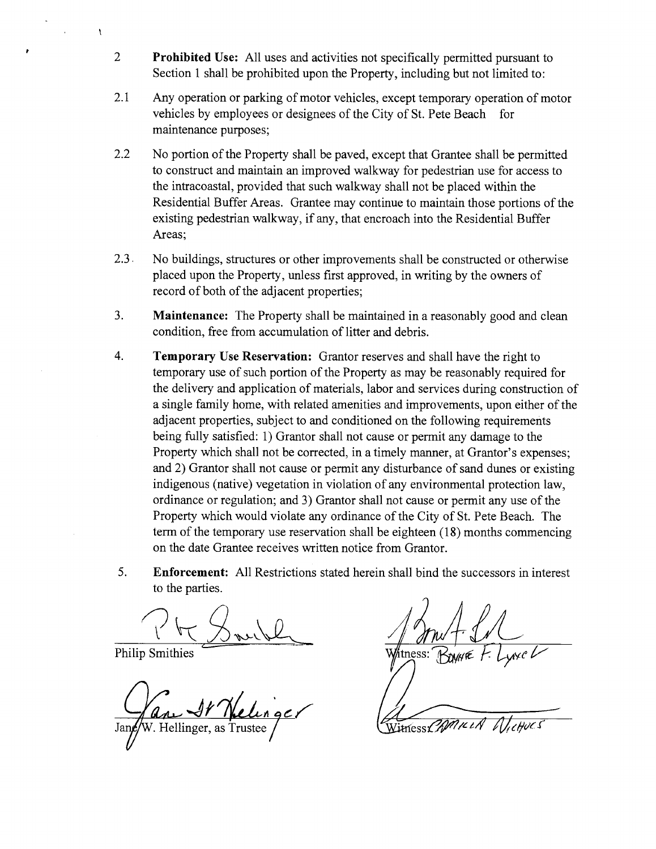- 2 Prohibited Use: All uses and activities not specifically permitted pursuant to Section 1 shall be prohibited upon the Property, including but not limited to:
- 2.1 Any operation or parking of motor vehicles, except temporary operation of motor vehicles by employees or designees of the City of St. Pete Beach for maintenance purposes;
- 2.2 No portion of the Property shall be paved, except that Grantee shall be permitted to construct and maintain an improved walkway for pedestrian use for access to the intracoastal, provided that such walkway shall not be placed within the Residential Buffer Areas. Grantee may continue to maintain those portions of the existing pedestrian walkway, if any, that encroach into the Residential Buffer Areas;
- 2.3. No buildings, structures or other improvements shall be constructed or otherwise placed upon the Property, unless first approved, in writing by the owners of record of both of the adjacent properties;
- $3.$ Maintenance: The Property shall be maintained in a reasonably good and clean condition, free from accumulation of litter and debris.
- 4. **Temporary Use Reservation:** Grantor reserves and shall have the right to temporary use of such portion of the Property as may be reasonably required for the delivery and application of materials, labor and services during construction of a single family home, with related amenities and improvements, upon either of the adjacent properties, subject to and conditioned on the following requirements being fully satisfied: 1) Grantor shall not cause or permit any damage to the Property which shall not be corrected, in a timely manner, at Grantor's expenses; and 2) Grantor shall not cause or permit any disturbance of sand dunes or existing indigenous ( native) vegetation in violation of any environmental protection law, ordinance or regulation; and 3) Grantor shall not cause or permit any use of the Property which would violate any ordinance of the City of St. Pete Beach. The term of the temporary use reservation shall be eighteen ( 18) months commencing on the date Grantee receives written notice from Grantor.
- 5. Enforcement: All Restrictions stated herein shall bind the successors in interest to the parties.

Philip Smithies W/tness:

 $\mathbf{A}$ 

V. Hellinger, as

Witness CAMILLA blichocs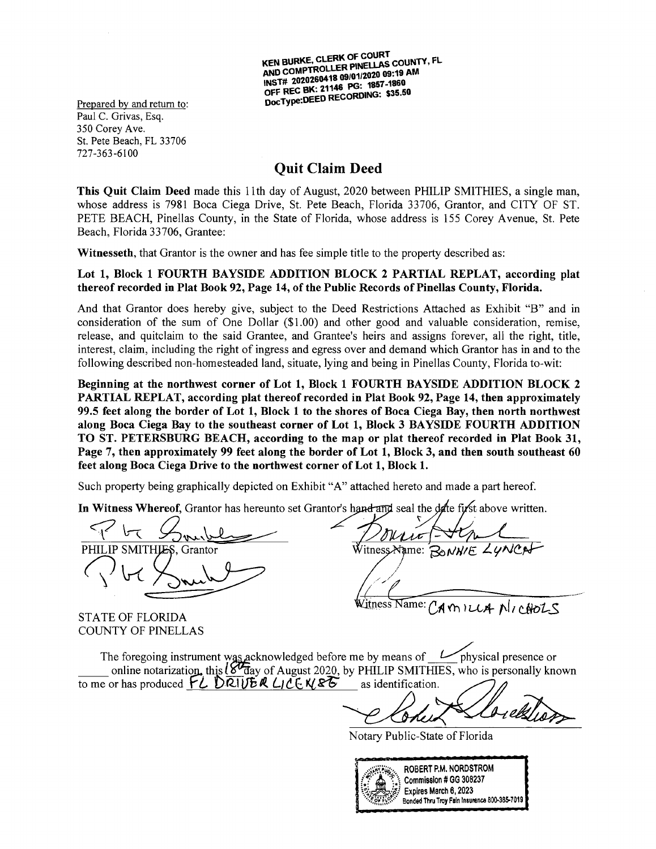KEN BURKE, CLERK OF COURT<br>AND COMPTROLLER PINELLAS COUNT<br>INST# 2020260418 09/01/2020 09:19 AM AND COMPTROLLER PINELLAS COUNTY, FL OFF REC BK: 21146 PG: 1857-1860 OFF REC BR: 21146 CREORDING: \$35.50<br>DocType:DEED RECORDING: \$35.50 DocType:DEED RECORDING: \$35.50

Paul C. Grivas, Esq. 350 Corey Ave. St. Pete Beach, FL 33706 727- 363- 6100

# Quit Claim Deed

This Quit Claim Deed made this 11th day of August, 2020 between PHILIP SMITHIES, a single man, whose address is 7981 Boca Ciega Drive, St. Pete Beach, Florida 33706, Grantor, and CITY OF ST. PETE BEACH, Pinellas County, in the State of Florida, whose address is 155 Corey Avenue, St. Pete Beach, Florida 33706, Grantee:

Witnesseth, that Grantor is the owner and has fee simple title to the property described as:

Lot 1, Block 1 FOURTH BAYSIDE ADDITION BLOCK 2 PARTIAL REPLAT, according plat thereof recorded in Plat Book 92, Page 14, of the Public Records of Pinellas County, Florida.

And that Grantor does hereby give, subject to the Deed Restrictions Attached as Exhibit "B" and in consideration of the sum of One Dollar  $(\$1.00)$  and other good and valuable consideration, remise, release, and quitclaim to the said Grantee, and Grantee's heirs and assigns forever, all the right, title, interest, claim, including the right of ingress and egress over and demand which Grantor has in and to the following described non -homesteaded land, situate, lying and being in Pinellas County, Florida to -wit:

Beginning at the northwest corner of Lot 1, Block 1 FOURTH BAYSIDE ADDITION BLOCK 2 PARTIAL REPLAT, according plat thereof recorded in Plat Book 92, Page 14, then approximately 99.5 feet along the border of Lot 1, Block 1 to the shores of Boca Ciega Bay, then north northwest along Boca Ciega Bay to the southeast corner of Lot 1, Block 3 BAYSIDE FOURTH ADDITION TO ST. PETERSBURG BEACH, according to the map or plat thereof recorded in Plat Book 31, Page 7, then approximately 99 feet along the border of Lot 1, Block 3, and then south southeast 60 feet along Boca Ciega Drive to the northwest corner of Lot 1, Block 1.

Such property being graphically depicted on Exhibit "A" attached hereto and made a part hereof.

In Witness Whereof, Grantor has hereunto set Grantor's hand and seal the  $\frac{d}{dx}$  first above written.

SMITHLES, Grantor

STATE OF FLORIDA COUNTY OF PINELLAS

WitnessAame:

Vitness Name:  $C_A$  on  $\nu A$   $N$ ,  $CAOLS$ 

The foregoing instrument was acknowledged before me by means of  $\nu$  physical presence or online notarization, this lsolar of August 2020, by PHILIP SMITHIES, who is personally known<br>or has produced  $\overrightarrow{L}$  DRIVER LICE N/RE as identification. to me or has produced  $FL$  DRIVER LICENET BONNIE LYNCA<br>
A CHILLA NI CHOLS<br>
IES, who is personally known<br>
R. Who is personally known<br>
R. NORDSTROM<br>
CHE Of Florida<br>
P.M. NORDSTROM<br>
ION # GG 308237<br>
Troy Fain Insurance 800-385-7019

Blon

Notary Public -State of Florida

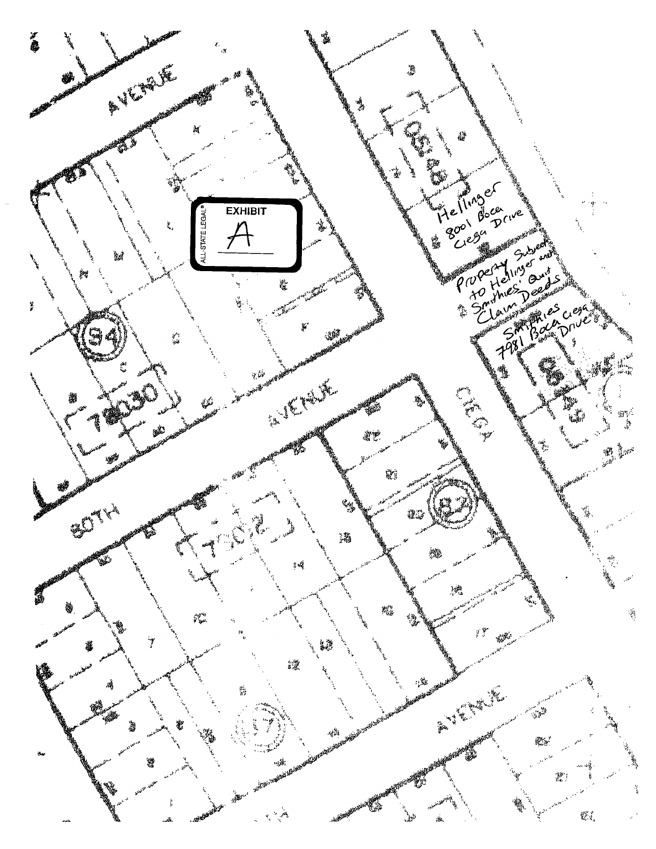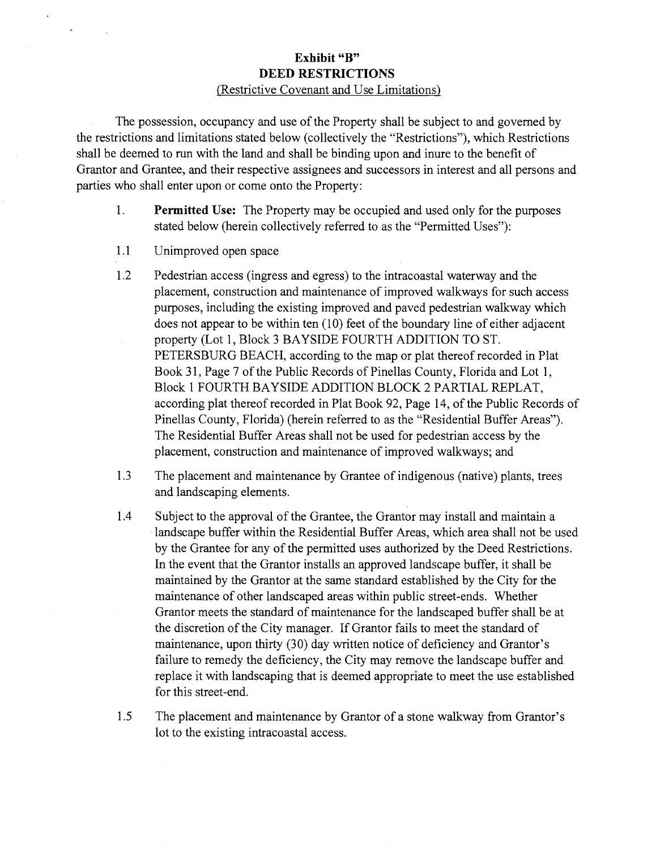### Exhibit "B" DEED RESTRICTIONS Restrictive Covenant and Use Limitations)

The possession, occupancy and use of the Property shall be subject to and governed by the restrictions and limitations stated below (collectively the "Restrictions"), which Restrictions shall be deemed to run with the land and shall be binding upon and inure to the benefit of Grantor and Grantee, and their respective assignees and successors in interest and all persons and parties who shall enter upon or come onto the Property:

- 1. **Permitted Use:** The Property may be occupied and used only for the purposes stated below (herein collectively referred to as the "Permitted Uses"):
- 1.1 Unimproved open space

 $\ddot{\phantom{a}}$ 

 $\mathbf{x}$ 

- 1.2 Pedestrian access (ingress and egress) to the intracoastal waterway and the placement, construction and maintenance of improved walkways for such access purposes, including the existing improved and paved pedestrian walkway which does not appear to be within ten (10) feet of the boundary line of either adjacent property (Lot 1, Block 3 BAYSIDE FOURTH ADDITION TO ST. PETERSBURG BEACH, according to the map or plat thereof recorded in Plat Book 31, Page 7 of the Public Records of Pinellas County, Florida and Lot 1, Block 1 FOURTH BAYSIDE ADDITION BLOCK 2 PARTIAL REPLAT, according plat thereof recorded in Plat Book 92, Page 14, of the Public Records of Pinellas County, Florida) ( herein referred to as the " Residential Buffer Areas"). The Residential Buffer Areas shall not be used for pedestrian access by the placement, construction and maintenance of improved walkways; and
- 1.3 The placement and maintenance by Grantee of indigenous (native) plants, trees and landscaping elements.
- 1.4 Subject to the approval of the Grantee, the Grantor may install and maintain a landscape buffer within the Residential Buffer Areas, which area shall not be used by the Grantee for any of the permitted uses authorized by the Deed Restrictions. In the event that the Grantor installs an approved landscape buffer, it shall be maintained by the Grantor at the same standard established by the City for the maintenance of other landscaped areas within public street -ends. Whether Grantor meets the standard of maintenance for the landscaped buffer shall be at the discretion of the City manager. If Grantor fails to meet the standard of maintenance, upon thirty (30) day written notice of deficiency and Grantor's failure to remedy the deficiency, the City may remove the landscape buffer and replace it with landscaping that is deemed appropriate to meet the use established for this street-end.
- 1.5 The placement and maintenance by Grantor of a stone walkway from Grantor's lot to the existing intracoastal access.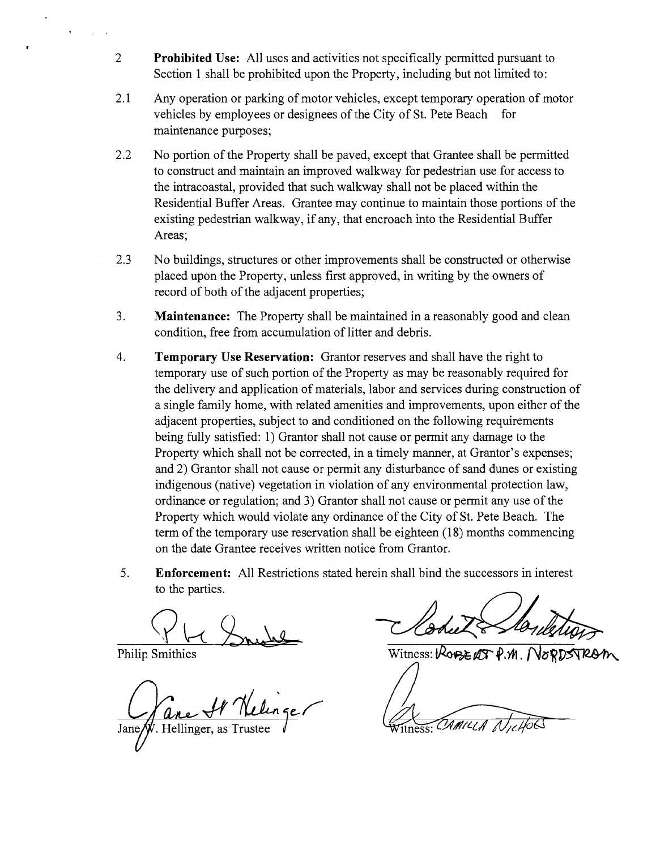- 2 **Prohibited Use:** All uses and activities not specifically permitted pursuant to Section 1 shall be prohibited upon the Property, including but not limited to:
- 2.1 Any operation or parking of motor vehicles, except temporary operation of motor vehicles by employees or designees of the City of St. Pete Beach for maintenance purposes;
- 2.2 No portion of the Property shall be paved, except that Grantee shall be permitted to construct and maintain an improved walkway for pedestrian use for access to the intracoastal, provided that such walkway shall not be placed within the Residential Buffer Areas. Grantee may continue to maintain those portions of the existing pedestrian walkway, if any, that encroach into the Residential Buffer Areas;
- 2.3 No buildings, structures or other improvements shall be constructed or otherwise placed upon the Property, unless first approved, in writing by the owners of record of both of the adjacent properties;
- 3. Maintenance: The Property shall be maintained in a reasonably good and clean condition, free from accumulation of litter and debris.
- 4. Temporary Use Reservation: Grantor reserves and shall have the right to temporary use of such portion of the Property as may be reasonably required for the delivery and application of materials, labor and services during construction of a single family home, with related amenities and improvements, upon either of the adjacent properties, subject to and conditioned on the following requirements being fully satisfied: 1) Grantor shall not cause or permit any damage to the Property which shall not be corrected, in a timely manner, at Grantor's expenses; and 2) Grantor shall not cause or permit any disturbance of sand dunes or existing indigenous (native) vegetation in violation of any environmental protection law, ordinance or regulation; and 3) Grantor shall not cause or permit any use of the Property which would violate any ordinance of the City of St. Pete Beach. The term of the temporary use reservation shall be eighteen ( 18) months commencing on the date Grantee receives written notice from Grantor.
- 5. Enforcement: All Restrictions stated herein shall bind the successors in interest to the parties.

**Philip Smithies** 

Jane  $\not$ . Hellinger, as Trustee

Witness:  $V2$ OP3E  $\varnothing T P.M$ .

TAMILI A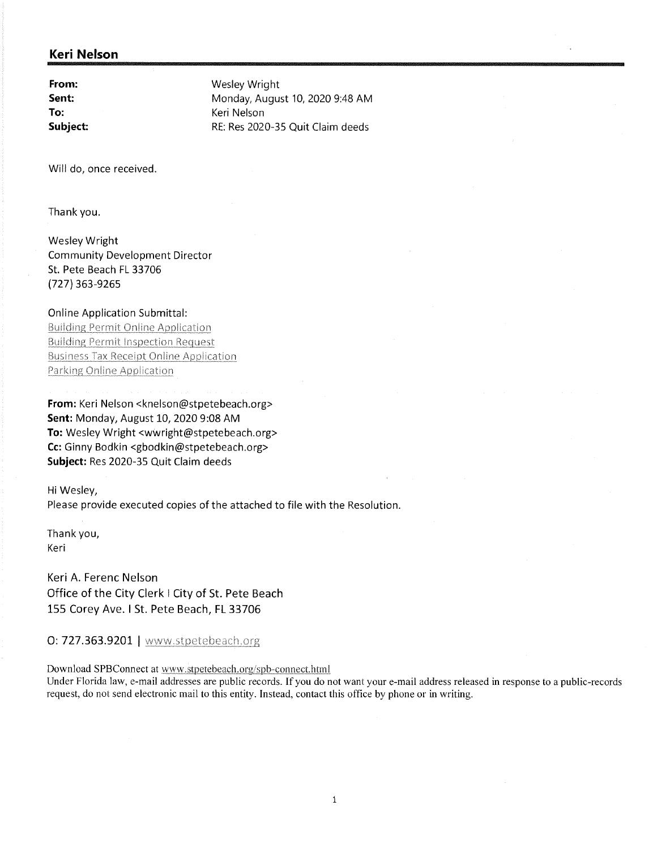### Keri Nelson

From: Wesley Wright<br>
Sent: Monday, August Sent: Monday, August 10, 2020 9:48 AM<br>
To: Melson Keri Nelson Subject: RE: Res 2020-35 Quit Claim deeds

Will do, once received.

Thank you.

Wesley Wright Community Development Director St. Pete Beach FL 33706 727) 363- 9265

#### Online Application Submittal:

**Building Permit Online Application Building Permit Inspection Request Business Tax Receipt Online Application** Parking Online Application

From: Keri Nelson < knelson@stpetebeach. org> Sent: Monday, August 10, 2020 9:08 AM To: Wesley Wright <wwright@stpetebeach. org> Cc: Ginny Bodkin <gbodkin@stpetebeach. org> Subject: Res 2020-35 Quit Claim deeds

Hi Wesley, Please provide executed copies of the attached to file with the Resolution.

Thank you, Keri

Keri A. Ferenc Nelson Office of the City Clerk I City of St. Pete Beach 155 Corey Ave. I St. Pete Beach, FL 33706

0: 727.363.9201 | www.stpetebeach.org

Download SPBConnect at www.stpetebeach.org/spb-connect.html

Under Florida law, e-mail addresses are public records. If you do not want your e-mail address released in response to a public-records request, do not send electronic mail to this entity. Instead, contact this office by phone or in writing.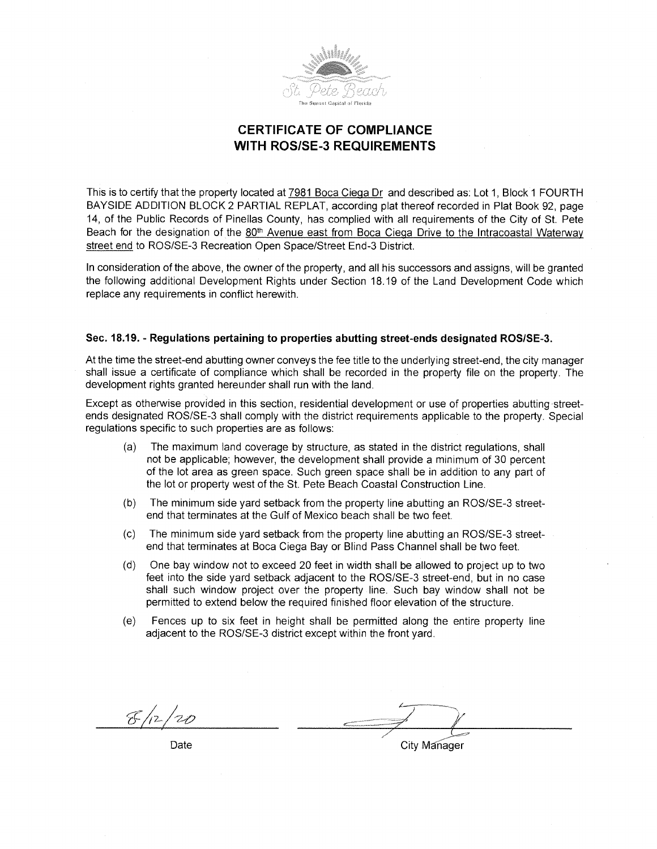

## **CERTIFICATE OF COMPLIANCE WITH ROS/SE-3 REQUIREMENTS**

This is to certify that the property located at 7981 Boca Ciepa Dr and described as: Lot 1, Block 1 FOURTH BAYSIDE ADDITION BLOCK 2 PARTIAL REPLAT, according plat thereof recorded in Plat Book 92, page 14, of the Public Records of Pinellas County, has complied with all requirements of the City of St. Pete Beach for the designation of the 80<sup>th</sup> Avenue east from Boca Ciega Drive to the Intracoastal Waterway street end to ROS/SE-3 Recreation Open Space/Street End-3 District.

In consideration of the above, the owner of the property, and all his successors and assigns, will be granted the following additional Development Rights under Section 18. 19 of the Land Development Code which replace any requirements in conflict herewith.

#### Sec. 18.19. - Regulations pertaining to properties abutting street-ends designated ROS/SE-3.

At the time the street -end abutting owner conveys the fee title to the underlying street -end, the city manager shall issue a certificate of compliance which shall be recorded in the property file on the property. The development rights granted hereunder shall run with the land.

Except as otherwise provided in this section, residential development or use of properties abutting streetends designated ROS/SE-3 shall comply with the district requirements applicable to the property. Special regulations specific to such properties are as follows:

- a) The maximum land coverage by structure, as stated in the district regulations, shall not be applicable; however, the development shall provide a minimum of 30 percent of the lot area as green space. Such green space shall be in addition to any part of the lot or property west of the St. Pete Beach Coastal Construction Line.
- (b) The minimum side yard setback from the property line abutting an ROS/SE-3 streetend that terminates at the Gulf of Mexico beach shall be two feet.
- $\sigma$ ) The minimum side yard setback from the property line abutting an ROS/SE-3 streetend that terminates at Boca Ciega Bay or Blind Pass Channel shall be two feet.
- d) One bay window not to exceed 20 feet in width shall be allowed to project up to two feet into the side yard setback adjacent to the ROS/SE-3 street-end, but in no case shall such window project over the property line. Such bay window shall not be permitted to extend below the required finished floor elevation of the structure.
- e) Fences up to six feet in height shall be permitted along the entire property line adjacent to the ROS/SE-3 district except within the front yard.

 $\mathcal{F}/_{12}$ 1 7.17

Date City Manager